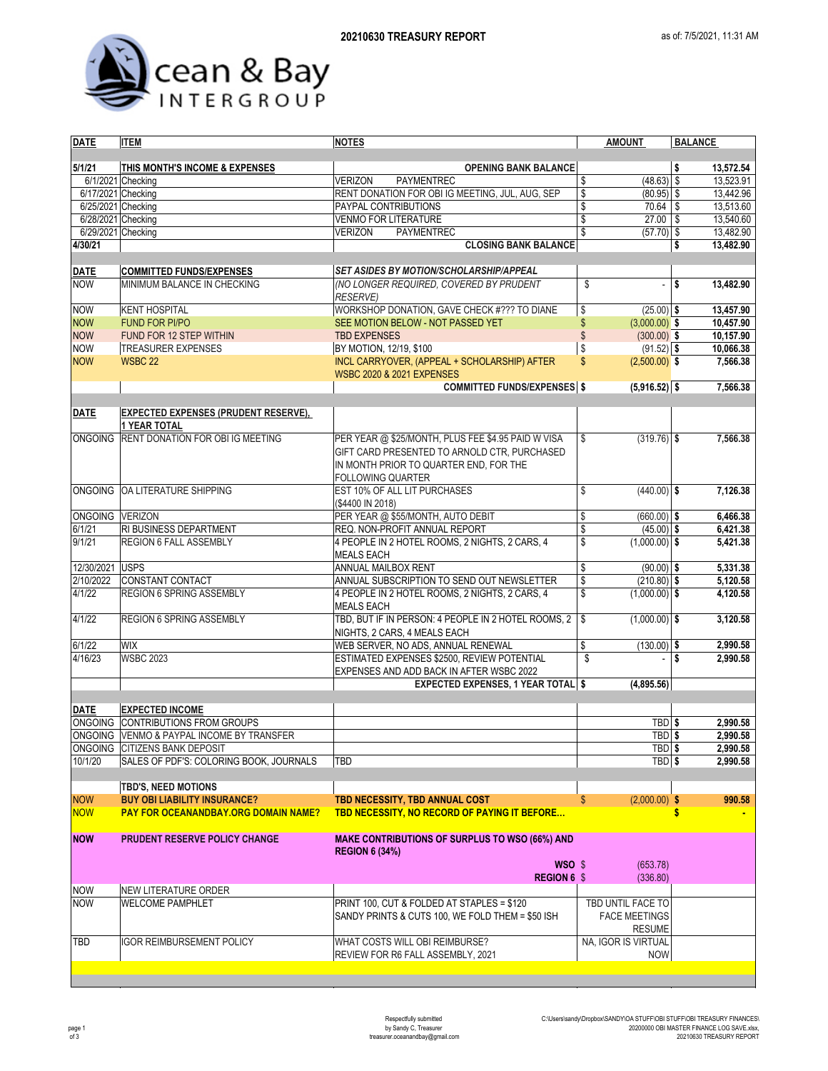

| <b>DATE</b>        | <b>ITEM</b>                                 | <b>NOTES</b>                                                            | <b>AMOUNT</b>                            | <b>BALANCE</b>         |  |  |
|--------------------|---------------------------------------------|-------------------------------------------------------------------------|------------------------------------------|------------------------|--|--|
|                    |                                             |                                                                         |                                          |                        |  |  |
| 5/1/21             | THIS MONTH'S INCOME & EXPENSES              | <b>OPENING BANK BALANCE</b>                                             | $(48.63)$ \$                             | 13,572.54<br>\$        |  |  |
| 6/17/2021 Checking | 6/1/2021 Checking                           | <b>VERIZON</b><br>PAYMENTREC                                            | \$<br>\$<br>$(80.95)$ \$                 | 13,523.91<br>13,442.96 |  |  |
| 6/25/2021 Checking |                                             | RENT DONATION FOR OBI IG MEETING, JUL, AUG, SEP<br>PAYPAL CONTRIBUTIONS | \$<br>70.64                              | \$<br>13,513.60        |  |  |
| 6/28/2021 Checking |                                             | <b>VENMO FOR LITERATURE</b>                                             | \$<br>$27.00$ \$                         | 13,540.60              |  |  |
| 6/29/2021 Checking |                                             | <b>VERIZON</b><br><b>PAYMENTREC</b>                                     | \$<br>$(57.70)$ \$                       | 13,482.90              |  |  |
| 4/30/21            |                                             | <b>CLOSING BANK BALANCE</b>                                             |                                          | \$<br>13,482.90        |  |  |
|                    |                                             |                                                                         |                                          |                        |  |  |
| <b>DATE</b>        | <b>COMMITTED FUNDS/EXPENSES</b>             | <b>SET ASIDES BY MOTION/SCHOLARSHIP/APPEAL</b>                          |                                          |                        |  |  |
| <b>NOW</b>         | MINIMUM BALANCE IN CHECKING                 | (NO LONGER REQUIRED, COVERED BY PRUDENT                                 | \$<br>$\overline{a}$                     | \$<br>13,482.90        |  |  |
|                    |                                             | <b>RESERVE)</b>                                                         |                                          |                        |  |  |
| <b>NOW</b>         | <b>KENT HOSPITAL</b>                        | WORKSHOP DONATION, GAVE CHECK #??? TO DIANE                             | \$<br>$(25.00)$ \$                       | 13,457.90              |  |  |
| <b>NOW</b>         | <b>FUND FOR PI/PO</b>                       | SEE MOTION BELOW - NOT PASSED YET                                       | \$<br>$(3,000.00)$ \$                    | 10,457.90              |  |  |
| <b>NOW</b>         | FUND FOR 12 STEP WITHIN                     | <b>TBD EXPENSES</b>                                                     | $\sqrt[6]{\frac{1}{2}}$<br>$(300.00)$ \$ | 10,157.90              |  |  |
| <b>NOW</b>         | <b>TREASURER EXPENSES</b>                   | BY MOTION, 12/19, \$100                                                 | \$<br>$(91.52)$ \$                       | 10,066.38              |  |  |
| <b>NOW</b>         | <b>WSBC 22</b>                              | INCL CARRYOVER, (APPEAL + SCHOLARSHIP) AFTER                            | $\mathsf{\$}$<br>$(2,500.00)$ \$         | 7,566.38               |  |  |
|                    |                                             | <b>WSBC 2020 &amp; 2021 EXPENSES</b>                                    |                                          |                        |  |  |
|                    |                                             | <b>COMMITTED FUNDS/EXPENSES \$</b>                                      | $(5,916.52)$ \$                          | 7,566.38               |  |  |
|                    |                                             |                                                                         |                                          |                        |  |  |
| <b>DATE</b>        | <b>EXPECTED EXPENSES (PRUDENT RESERVE),</b> |                                                                         |                                          |                        |  |  |
|                    | <b>1 YEAR TOTAL</b>                         |                                                                         |                                          |                        |  |  |
| <b>ONGOING</b>     | RENT DONATION FOR OBI IG MEETING            | PER YEAR @ \$25/MONTH, PLUS FEE \$4.95 PAID W VISA                      | \$<br>$(319.76)$ \$                      | 7,566.38               |  |  |
|                    |                                             | GIFT CARD PRESENTED TO ARNOLD CTR, PURCHASED                            |                                          |                        |  |  |
|                    |                                             | IN MONTH PRIOR TO QUARTER END, FOR THE                                  |                                          |                        |  |  |
|                    |                                             | <b>FOLLOWING QUARTER</b>                                                |                                          |                        |  |  |
| <b>ONGOING</b>     | OA LITERATURE SHIPPING                      | EST 10% OF ALL LIT PURCHASES                                            | \$<br>$(440.00)$ \$                      | 7,126.38               |  |  |
| ONGOING VERIZON    |                                             | (\$4400 IN 2018)<br>PER YEAR @ \$55/MONTH, AUTO DEBIT                   | \$<br>$(660.00)$ \$                      | 6,466.38               |  |  |
| 6/1/21             | RI BUSINESS DEPARTMENT                      | REQ. NON-PROFIT ANNUAL REPORT                                           | \$<br>$(45.00)$ \$                       | 6,421.38               |  |  |
| 9/1/21             | REGION 6 FALL ASSEMBLY                      | 4 PEOPLE IN 2 HOTEL ROOMS, 2 NIGHTS, 2 CARS, 4                          | $\sqrt{2}$<br>$(1,000.00)$ \$            | 5,421.38               |  |  |
|                    |                                             | <b>MEALS EACH</b>                                                       |                                          |                        |  |  |
| 12/30/2021         | <b>USPS</b>                                 | ANNUAL MAILBOX RENT                                                     | \$<br>$(90.00)$ \$                       | 5,331.38               |  |  |
| 2/10/2022          | <b>CONSTANT CONTACT</b>                     | ANNUAL SUBSCRIPTION TO SEND OUT NEWSLETTER                              | \$<br>$(210.80)$ \$                      | 5,120.58               |  |  |
| 4/1/22             | REGION 6 SPRING ASSEMBLY                    | 4 PEOPLE IN 2 HOTEL ROOMS, 2 NIGHTS, 2 CARS, 4                          | \$<br>$(1,000.00)$ \$                    | 4,120.58               |  |  |
|                    |                                             | <b>MEALS EACH</b>                                                       |                                          |                        |  |  |
| 4/1/22             | <b>REGION 6 SPRING ASSEMBLY</b>             | TBD, BUT IF IN PERSON: 4 PEOPLE IN 2 HOTEL ROOMS, 2                     | S<br>$(1,000.00)$ \$                     | 3,120.58               |  |  |
|                    |                                             | NIGHTS, 2 CARS, 4 MEALS EACH                                            |                                          |                        |  |  |
| 6/1/22             | <b>WIX</b>                                  | WEB SERVER, NO ADS, ANNUAL RENEWAL                                      | \$<br>$(130.00)$ \$                      | 2,990.58               |  |  |
| 4/16/23            | <b>WSBC 2023</b>                            | ESTIMATED EXPENSES \$2500, REVIEW POTENTIAL                             | \$<br>$\overline{a}$                     | l \$<br>2,990.58       |  |  |
|                    |                                             | EXPENSES AND ADD BACK IN AFTER WSBC 2022                                |                                          |                        |  |  |
|                    |                                             | <b>EXPECTED EXPENSES, 1 YEAR TOTAL \$</b>                               | (4,895.56)                               |                        |  |  |
|                    |                                             |                                                                         |                                          |                        |  |  |
| <b>DATE</b>        | <b>EXPECTED INCOME</b>                      |                                                                         |                                          |                        |  |  |
|                    | ONGOING CONTRIBUTIONS FROM GROUPS           |                                                                         | TBD <sub>\$</sub>                        | 2,990.58               |  |  |
| <b>ONGOING</b>     | VENMO & PAYPAL INCOME BY TRANSFER           |                                                                         | TBD <sub>\$</sub>                        | 2,990.58               |  |  |
|                    | ONGOING CITIZENS BANK DEPOSIT               |                                                                         | TBD  \$                                  | 2,990.58               |  |  |
| 10/1/20            | SALES OF PDF'S: COLORING BOOK, JOURNALS     | TBD                                                                     | TBD \$                                   | 2,990.58               |  |  |
|                    |                                             |                                                                         |                                          |                        |  |  |
|                    | <b>TBD'S, NEED MOTIONS</b>                  |                                                                         |                                          |                        |  |  |
| <b>NOW</b>         | <b>BUY OBI LIABILITY INSURANCE?</b>         | TBD NECESSITY, TBD ANNUAL COST                                          | S<br>$(2,000.00)$ \$                     | 990.58                 |  |  |
| <b>NOW</b>         | <b>PAY FOR OCEANANDBAY.ORG DOMAIN NAME?</b> | TBD NECESSITY, NO RECORD OF PAYING IT BEFORE                            |                                          | \$                     |  |  |
| <b>NOW</b>         | <b>PRUDENT RESERVE POLICY CHANGE</b>        | <b>MAKE CONTRIBUTIONS OF SURPLUS TO WSO (66%) AND</b>                   |                                          |                        |  |  |
|                    |                                             | <b>REGION 6 (34%)</b>                                                   |                                          |                        |  |  |
|                    |                                             | WSO \$                                                                  | (653.78)                                 |                        |  |  |
|                    |                                             | <b>REGION 6 \$</b>                                                      | (336.80)                                 |                        |  |  |
| <b>NOW</b>         | <b>NEW LITERATURE ORDER</b>                 |                                                                         |                                          |                        |  |  |
| <b>NOW</b>         | <b>WELCOME PAMPHLET</b>                     | PRINT 100, CUT & FOLDED AT STAPLES = \$120                              | TBD UNTIL FACE TO                        |                        |  |  |
|                    |                                             | SANDY PRINTS & CUTS 100, WE FOLD THEM = \$50 ISH                        | <b>FACE MEETINGS</b>                     |                        |  |  |
|                    |                                             |                                                                         | <b>RESUME</b>                            |                        |  |  |
| TBD                | <b>IGOR REIMBURSEMENT POLICY</b>            | WHAT COSTS WILL OBI REIMBURSE?                                          | NA, IGOR IS VIRTUAL                      |                        |  |  |
|                    |                                             | REVIEW FOR R6 FALL ASSEMBLY, 2021                                       | <b>NOW</b>                               |                        |  |  |
|                    |                                             |                                                                         |                                          |                        |  |  |
|                    |                                             |                                                                         |                                          |                        |  |  |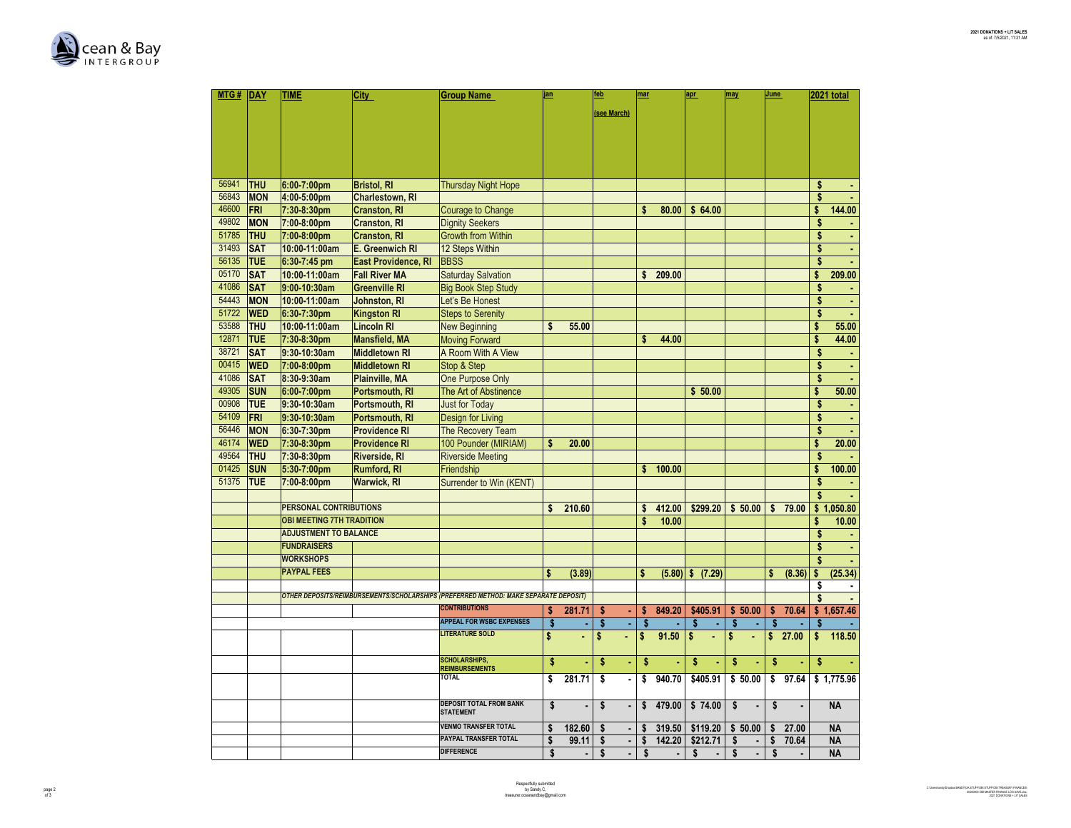

| MTG#  | DAY                      | TIME                          | City                                         | <b>Group Name</b>                                                                    | jan |        | feb                                                                                                                                                                                                                                                                                                                                                                                                                                                       | mar |                | apr                  | <b>June</b><br>may                |    |        | 2021 total |            |
|-------|--------------------------|-------------------------------|----------------------------------------------|--------------------------------------------------------------------------------------|-----|--------|-----------------------------------------------------------------------------------------------------------------------------------------------------------------------------------------------------------------------------------------------------------------------------------------------------------------------------------------------------------------------------------------------------------------------------------------------------------|-----|----------------|----------------------|-----------------------------------|----|--------|------------|------------|
|       |                          |                               |                                              |                                                                                      |     |        | (see March)                                                                                                                                                                                                                                                                                                                                                                                                                                               |     |                |                      |                                   |    |        |            |            |
|       |                          |                               |                                              |                                                                                      |     |        |                                                                                                                                                                                                                                                                                                                                                                                                                                                           |     |                |                      |                                   |    |        |            |            |
|       |                          |                               |                                              |                                                                                      |     |        |                                                                                                                                                                                                                                                                                                                                                                                                                                                           |     |                |                      |                                   |    |        |            |            |
|       |                          |                               |                                              |                                                                                      |     |        |                                                                                                                                                                                                                                                                                                                                                                                                                                                           |     |                |                      |                                   |    |        |            |            |
|       |                          |                               |                                              |                                                                                      |     |        |                                                                                                                                                                                                                                                                                                                                                                                                                                                           |     |                |                      |                                   |    |        |            |            |
| 56941 |                          |                               |                                              |                                                                                      |     |        |                                                                                                                                                                                                                                                                                                                                                                                                                                                           |     |                |                      |                                   |    |        |            |            |
| 56843 | <b>THU</b><br><b>MON</b> | 6:00-7:00pm<br>4:00-5:00pm    | <b>Bristol, RI</b><br><b>Charlestown, RI</b> | <b>Thursday Night Hope</b>                                                           |     |        |                                                                                                                                                                                                                                                                                                                                                                                                                                                           |     |                |                      |                                   |    |        | \$<br>\$   |            |
| 46600 | FRI                      | 7:30-8:30pm                   | <b>Cranston, RI</b>                          | Courage to Change                                                                    |     |        |                                                                                                                                                                                                                                                                                                                                                                                                                                                           | \$  | 80.00          | \$64.00              |                                   |    |        | \$         | 144.00     |
| 49802 | <b>MON</b>               | 7:00-8:00pm                   | <b>Cranston, RI</b>                          | <b>Dignity Seekers</b>                                                               |     |        |                                                                                                                                                                                                                                                                                                                                                                                                                                                           |     |                |                      |                                   |    |        | \$         |            |
| 51785 | <b>THU</b>               | 7:00-8:00pm                   | <b>Cranston, RI</b>                          | <b>Growth from Within</b>                                                            |     |        |                                                                                                                                                                                                                                                                                                                                                                                                                                                           |     |                |                      |                                   |    |        | \$         | ٠          |
| 31493 | <b>SAT</b>               | 10:00-11:00am                 | <b>E. Greenwich RI</b>                       | 12 Steps Within                                                                      |     |        |                                                                                                                                                                                                                                                                                                                                                                                                                                                           |     |                |                      |                                   |    |        | \$         | ٠          |
| 56135 | <b>TUE</b>               | 6:30-7:45 pm                  | East Providence, RI                          | <b>BBSS</b>                                                                          |     |        |                                                                                                                                                                                                                                                                                                                                                                                                                                                           |     |                |                      |                                   |    |        | \$         |            |
| 05170 | <b>SAT</b>               | 10:00-11:00am                 | <b>Fall River MA</b>                         | <b>Saturday Salvation</b>                                                            |     |        |                                                                                                                                                                                                                                                                                                                                                                                                                                                           | \$  | 209.00         |                      |                                   |    |        | \$         | 209.00     |
| 41086 | <b>SAT</b>               | 9:00-10:30am                  | <b>Greenville RI</b>                         | <b>Big Book Step Study</b>                                                           |     |        |                                                                                                                                                                                                                                                                                                                                                                                                                                                           |     |                |                      |                                   |    |        | \$         |            |
| 54443 | <b>MON</b>               | 10:00-11:00am                 | <b>Johnston, RI</b>                          | Let's Be Honest                                                                      |     |        |                                                                                                                                                                                                                                                                                                                                                                                                                                                           |     |                |                      |                                   |    |        | \$         | l,         |
| 51722 | <b>WED</b>               | 6:30-7:30pm                   | <b>Kingston RI</b>                           | <b>Steps to Serenity</b>                                                             |     |        |                                                                                                                                                                                                                                                                                                                                                                                                                                                           |     |                |                      |                                   |    |        | \$         |            |
| 53588 | <b>THU</b>               | 10:00-11:00am                 | <b>Lincoln RI</b>                            | <b>New Beginning</b>                                                                 | \$  | 55.00  |                                                                                                                                                                                                                                                                                                                                                                                                                                                           |     |                |                      |                                   |    |        | \$         | 55.00      |
| 12871 | <b>TUE</b>               | 7:30-8:30pm                   | <b>Mansfield, MA</b>                         | <b>Moving Forward</b>                                                                |     |        |                                                                                                                                                                                                                                                                                                                                                                                                                                                           | \$  | 44.00          |                      |                                   |    |        | \$         | 44.00      |
| 38721 | <b>SAT</b>               | 9:30-10:30am                  | <b>Middletown RI</b>                         | A Room With A View                                                                   |     |        |                                                                                                                                                                                                                                                                                                                                                                                                                                                           |     |                |                      |                                   |    |        | \$         | ٠          |
| 00415 | <b>WED</b>               | 7:00-8:00pm                   | <b>Middletown RI</b>                         | Stop & Step                                                                          |     |        |                                                                                                                                                                                                                                                                                                                                                                                                                                                           |     |                |                      |                                   |    |        | \$         | ٠          |
| 41086 | <b>SAT</b>               | 8:30-9:30am                   | <b>Plainville, MA</b>                        | <b>One Purpose Only</b>                                                              |     |        |                                                                                                                                                                                                                                                                                                                                                                                                                                                           |     |                |                      |                                   |    |        | \$         |            |
| 49305 | <b>SUN</b>               | 6:00-7:00pm                   | Portsmouth, RI                               | The Art of Abstinence                                                                |     |        |                                                                                                                                                                                                                                                                                                                                                                                                                                                           |     |                | \$50.00              |                                   |    |        | \$         | 50.00      |
| 00908 | <b>TUE</b>               | 9:30-10:30am                  | Portsmouth, RI                               | <b>Just for Todav</b>                                                                |     |        |                                                                                                                                                                                                                                                                                                                                                                                                                                                           |     |                |                      |                                   |    |        | \$         |            |
| 54109 | FRI                      | 9:30-10:30am                  | Portsmouth, RI                               | Design for Living                                                                    |     |        |                                                                                                                                                                                                                                                                                                                                                                                                                                                           |     |                |                      |                                   |    |        | \$         | ä,         |
| 56446 | <b>MON</b>               | 6:30-7:30pm                   | <b>Providence RI</b>                         | The Recovery Team                                                                    |     |        |                                                                                                                                                                                                                                                                                                                                                                                                                                                           |     |                |                      |                                   |    |        | \$         |            |
| 46174 | <b>WED</b>               | 7:30-8:30pm                   | <b>Providence RI</b>                         | 100 Pounder (MIRIAM)                                                                 | \$  | 20.00  |                                                                                                                                                                                                                                                                                                                                                                                                                                                           |     |                |                      |                                   |    |        | \$         | 20.00      |
| 49564 | <b>THU</b>               | 7:30-8:30pm                   | <b>Riverside, RI</b>                         | <b>Riverside Meeting</b>                                                             |     |        |                                                                                                                                                                                                                                                                                                                                                                                                                                                           |     |                |                      |                                   |    |        | \$         |            |
| 01425 | <b>SUN</b>               | 5:30-7:00pm                   | <b>Rumford, RI</b>                           | Friendship                                                                           |     |        |                                                                                                                                                                                                                                                                                                                                                                                                                                                           | \$  | 100.00         |                      |                                   |    |        | \$         | 100.00     |
| 51375 | <b>TUE</b>               | 7:00-8:00pm                   | <b>Warwick, RI</b>                           | Surrender to Win (KENT)                                                              |     |        |                                                                                                                                                                                                                                                                                                                                                                                                                                                           |     |                |                      |                                   |    |        | \$         |            |
|       |                          |                               |                                              |                                                                                      |     |        |                                                                                                                                                                                                                                                                                                                                                                                                                                                           |     |                |                      |                                   |    |        | \$         |            |
|       |                          | <b>PERSONAL CONTRIBUTIONS</b> |                                              |                                                                                      | \$  | 210.60 |                                                                                                                                                                                                                                                                                                                                                                                                                                                           | \$  | 412.00         | \$299.20             | \$50.00                           | \$ | 79.00  |            | \$1,050.80 |
|       |                          | OBI MEETING 7TH TRADITION     |                                              |                                                                                      |     |        |                                                                                                                                                                                                                                                                                                                                                                                                                                                           | \$  | 10.00          |                      |                                   |    |        | \$         | 10.00      |
|       |                          | <b>ADJUSTMENT TO BALANCE</b>  |                                              |                                                                                      |     |        |                                                                                                                                                                                                                                                                                                                                                                                                                                                           |     |                |                      |                                   |    |        | \$         |            |
|       |                          | <b>FUNDRAISERS</b>            |                                              |                                                                                      |     |        |                                                                                                                                                                                                                                                                                                                                                                                                                                                           |     |                |                      |                                   |    |        | \$         |            |
|       |                          | <b>WORKSHOPS</b>              |                                              |                                                                                      |     |        |                                                                                                                                                                                                                                                                                                                                                                                                                                                           |     |                |                      |                                   |    |        | \$         |            |
|       |                          | <b>PAYPAL FEES</b>            |                                              |                                                                                      | \$  | (3.89) |                                                                                                                                                                                                                                                                                                                                                                                                                                                           | \$  |                | $(5.80)$ \$ $(7.29)$ |                                   | \$ | (8.36) | \$         | (25.34)    |
|       |                          |                               |                                              |                                                                                      |     |        |                                                                                                                                                                                                                                                                                                                                                                                                                                                           |     |                |                      |                                   |    |        | \$         |            |
|       |                          |                               |                                              | OTHER DEPOSITS/REIMBURSEMENTS/SCHOLARSHIPS (PREFERRED METHOD: MAKE SEPARATE DEPOSIT) |     |        |                                                                                                                                                                                                                                                                                                                                                                                                                                                           |     |                |                      |                                   |    |        | \$         |            |
|       |                          |                               |                                              | <b>CONTRIBUTIONS</b>                                                                 | \$  | 281.71 | \$                                                                                                                                                                                                                                                                                                                                                                                                                                                        | \$  | 849.20         | \$405.91             | \$50.00                           | \$ | 70.64  |            | \$1,657.46 |
|       |                          |                               |                                              | <b>APPEAL FOR WSBC EXPENSES</b>                                                      | \$  | ä,     | \$<br>ä,                                                                                                                                                                                                                                                                                                                                                                                                                                                  | \$  | ٠              | \$<br>$\mathbf{r}$   | \$<br>$\mathcal{L}_{\mathcal{A}}$ | \$ | ٠      | \$         |            |
|       |                          |                               |                                              | <b>LITERATURE SOLD</b>                                                               | \$  | ×,     | \$                                                                                                                                                                                                                                                                                                                                                                                                                                                        | \$  | 91.50          | \$                   | \$<br>ä,                          | \$ | 27.00  | \$         | 118.50     |
|       |                          |                               |                                              | <b>SCHOLARSHIPS,</b><br><b>REIMBURSEMENTS</b>                                        | \$  |        | \$                                                                                                                                                                                                                                                                                                                                                                                                                                                        | \$  |                | \$                   | \$                                | \$ |        | \$         |            |
|       |                          |                               |                                              | <b>TOTAL</b>                                                                         | \$  | 281.71 | \$                                                                                                                                                                                                                                                                                                                                                                                                                                                        | \$  | 940.70         | \$405.91             | \$50.00                           | \$ | 97.64  |            | \$1,775.96 |
|       |                          |                               |                                              | <b>DEPOSIT TOTAL FROM BANK</b><br><b>STATEMENT</b>                                   | \$  |        | \$<br>$\centering \label{eq:reduced} \begin{minipage}{0.5\linewidth} \begin{tabular}{l} \multicolumn{3}{c}{\textbf{1} & \textbf{1} & \textbf{1} & \textbf{1} & \textbf{1} & \textbf{1} & \textbf{1} & \textbf{1} & \textbf{1} & \textbf{1} & \textbf{1} & \textbf{1} & \textbf{1} & \textbf{1} & \textbf{1} & \textbf{1} & \textbf{1} & \textbf{1} & \textbf{1} & \textbf{1} & \textbf{1} & \textbf{1} & \textbf{1} & \textbf{1} & \textbf{1} & \textbf{$ | \$  | 479.00         | \$74.00              | \$                                | \$ |        |            | <b>NA</b>  |
|       |                          |                               |                                              | <b>VENMO TRANSFER TOTAL</b>                                                          | \$  | 182.60 | \$                                                                                                                                                                                                                                                                                                                                                                                                                                                        | \$  | 319.50         | \$119.20             | \$50.00                           | \$ | 27.00  |            | <b>NA</b>  |
|       |                          |                               |                                              | PAYPAL TRANSFER TOTAL                                                                | \$  | 99.11  | \$<br>$\blacksquare$                                                                                                                                                                                                                                                                                                                                                                                                                                      | \$  | 142.20         | \$212.71             | \$<br>$\blacksquare$              | \$ | 70.64  |            | <b>NA</b>  |
|       |                          |                               |                                              | <b>DIFFERENCE</b>                                                                    | \$  |        | \$<br>$\blacksquare$                                                                                                                                                                                                                                                                                                                                                                                                                                      | \$  | $\blacksquare$ | \$<br>$\blacksquare$ | \$<br>$\blacksquare$              | \$ |        |            | <b>NA</b>  |